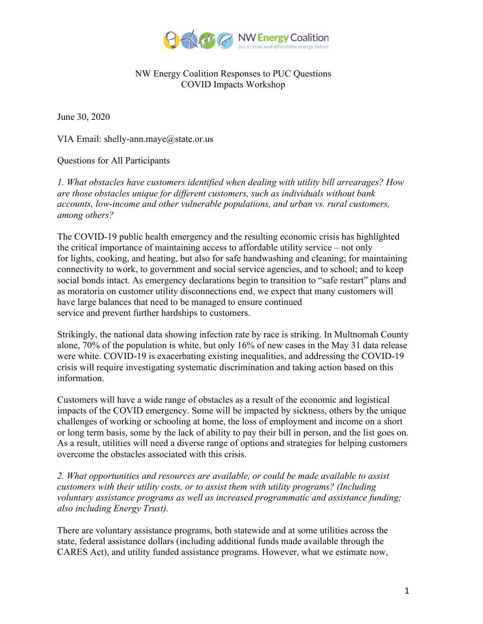

## NW Energy Coalition Responses to PUC Questions COVID Impacts Workshop

June 30, 2020

VIA Email: shelly-ann.maye@state.or.us

Questions for All Participants

*1. What obstacles have customers identified when dealing with utility bill arrearages? How are those obstacles unique for different customers, such as individuals without bank accounts, low-income and other vulnerable populations, and urban vs. rural customers, among others?* 

The COVID-19 public health emergency and the resulting economic crisis has highlighted the critical importance of maintaining access to affordable utility service – not only for lights, cooking, and heating, but also for safe handwashing and cleaning; for maintaining connectivity to work, to government and social service agencies, and to school; and to keep social bonds intact. As emergency declarations begin to transition to "safe restart" plans and as moratoria on customer utility disconnections end, we expect that many customers will have large balances that need to be managed to ensure continued service and prevent further hardships to customers.

Strikingly, the national data showing infection rate by race is striking. In Multnomah County alone, 70% of the population is white, but only 16% of new cases in the May 31 data release were white. COVID-19 is exacerbating existing inequalities, and addressing the COVID-19 crisis will require investigating systematic discrimination and taking action based on this information.

Customers will have a wide range of obstacles as a result of the economic and logistical impacts of the COVID emergency. Some will be impacted by sickness, others by the unique challenges of working or schooling at home, the loss of employment and income on a short or long term basis, some by the lack of ability to pay their bill in person, and the list goes on. As a result, utilities will need a diverse range of options and strategies for helping customers overcome the obstacles associated with this crisis.

*2. What opportunities and resources are available, or could be made available to assist customers with their utility costs, or to assist them with utility programs? (Including voluntary assistance programs as well as increased programmatic and assistance funding; also including Energy Trust).* 

There are voluntary assistance programs, both statewide and at some utilities across the state, federal assistance dollars (including additional funds made available through the CARES Act), and utility funded assistance programs. However, what we estimate now,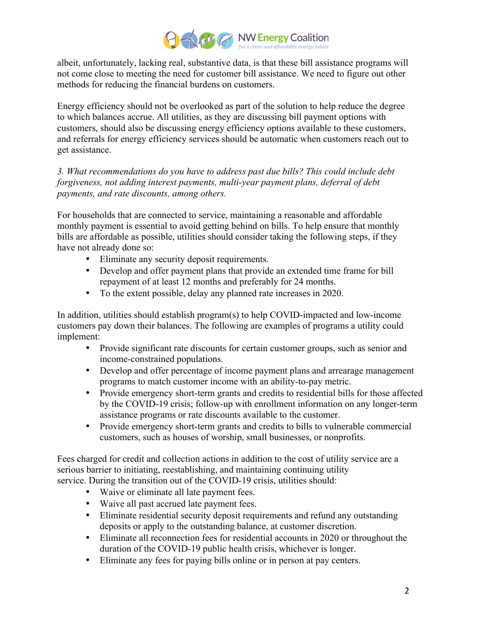

albeit, unfortunately, lacking real, substantive data, is that these bill assistance programs will not come close to meeting the need for customer bill assistance. We need to figure out other methods for reducing the financial burdens on customers.

Energy efficiency should not be overlooked as part of the solution to help reduce the degree to which balances accrue. All utilities, as they are discussing bill payment options with customers, should also be discussing energy efficiency options available to these customers, and referrals for energy efficiency services should be automatic when customers reach out to get assistance.

*3. What recommendations do you have to address past due bills? This could include debt forgiveness, not adding interest payments, multi-year payment plans, deferral of debt payments, and rate discounts, among others.*

For households that are connected to service, maintaining a reasonable and affordable monthly payment is essential to avoid getting behind on bills. To help ensure that monthly bills are affordable as possible, utilities should consider taking the following steps, if they have not already done so:

- Eliminate any security deposit requirements.
- Develop and offer payment plans that provide an extended time frame for bill repayment of at least 12 months and preferably for 24 months.
- To the extent possible, delay any planned rate increases in 2020.

In addition, utilities should establish program(s) to help COVID-impacted and low-income customers pay down their balances. The following are examples of programs a utility could implement:

- Provide significant rate discounts for certain customer groups, such as senior and income-constrained populations.
- Develop and offer percentage of income payment plans and arrearage management programs to match customer income with an ability-to-pay metric.
- Provide emergency short-term grants and credits to residential bills for those affected by the COVID-19 crisis; follow-up with enrollment information on any longer-term assistance programs or rate discounts available to the customer.
- Provide emergency short-term grants and credits to bills to vulnerable commercial customers, such as houses of worship, small businesses, or nonprofits.

Fees charged for credit and collection actions in addition to the cost of utility service are a serious barrier to initiating, reestablishing, and maintaining continuing utility service. During the transition out of the COVID-19 crisis, utilities should:

- Waive or eliminate all late payment fees.
- Waive all past accrued late payment fees.
- Eliminate residential security deposit requirements and refund any outstanding deposits or apply to the outstanding balance, at customer discretion.
- Eliminate all reconnection fees for residential accounts in 2020 or throughout the duration of the COVID-19 public health crisis, whichever is longer.
- Eliminate any fees for paying bills online or in person at pay centers.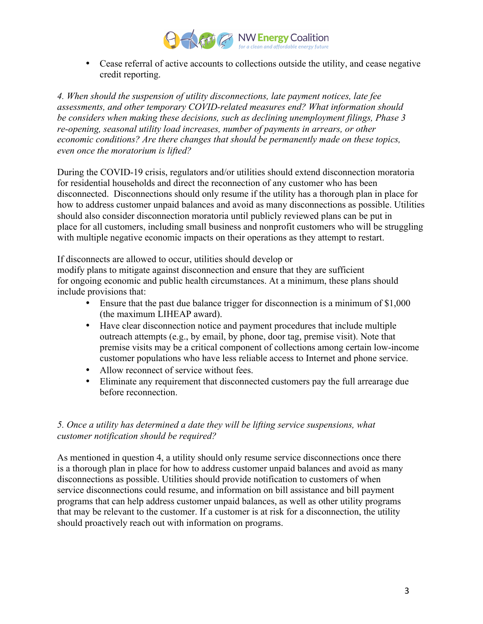

• Cease referral of active accounts to collections outside the utility, and cease negative credit reporting.

*4. When should the suspension of utility disconnections, late payment notices, late fee assessments, and other temporary COVID-related measures end? What information should be considers when making these decisions, such as declining unemployment filings, Phase 3 re-opening, seasonal utility load increases, number of payments in arrears, or other economic conditions? Are there changes that should be permanently made on these topics, even once the moratorium is lifted?*

During the COVID-19 crisis, regulators and/or utilities should extend disconnection moratoria for residential households and direct the reconnection of any customer who has been disconnected. Disconnections should only resume if the utility has a thorough plan in place for how to address customer unpaid balances and avoid as many disconnections as possible. Utilities should also consider disconnection moratoria until publicly reviewed plans can be put in place for all customers, including small business and nonprofit customers who will be struggling with multiple negative economic impacts on their operations as they attempt to restart.

If disconnects are allowed to occur, utilities should develop or modify plans to mitigate against disconnection and ensure that they are sufficient for ongoing economic and public health circumstances. At a minimum, these plans should include provisions that:

- Ensure that the past due balance trigger for disconnection is a minimum of \$1,000 (the maximum LIHEAP award).
- Have clear disconnection notice and payment procedures that include multiple outreach attempts (e.g., by email, by phone, door tag, premise visit). Note that premise visits may be a critical component of collections among certain low-income customer populations who have less reliable access to Internet and phone service.
- Allow reconnect of service without fees.
- Eliminate any requirement that disconnected customers pay the full arrearage due before reconnection.

# *5. Once a utility has determined a date they will be lifting service suspensions, what customer notification should be required?*

As mentioned in question 4, a utility should only resume service disconnections once there is a thorough plan in place for how to address customer unpaid balances and avoid as many disconnections as possible. Utilities should provide notification to customers of when service disconnections could resume, and information on bill assistance and bill payment programs that can help address customer unpaid balances, as well as other utility programs that may be relevant to the customer. If a customer is at risk for a disconnection, the utility should proactively reach out with information on programs.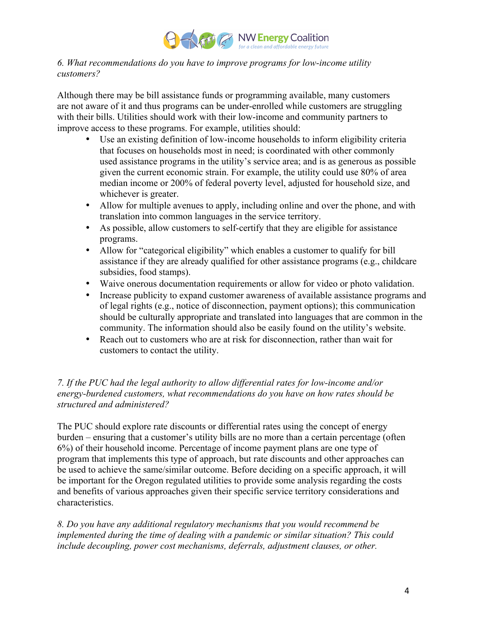

## *6. What recommendations do you have to improve programs for low-income utility customers?*

Although there may be bill assistance funds or programming available, many customers are not aware of it and thus programs can be under-enrolled while customers are struggling with their bills. Utilities should work with their low-income and community partners to improve access to these programs. For example, utilities should:

- Use an existing definition of low-income households to inform eligibility criteria that focuses on households most in need; is coordinated with other commonly used assistance programs in the utility's service area; and is as generous as possible given the current economic strain. For example, the utility could use 80% of area median income or 200% of federal poverty level, adjusted for household size, and whichever is greater.
- Allow for multiple avenues to apply, including online and over the phone, and with translation into common languages in the service territory.
- As possible, allow customers to self-certify that they are eligible for assistance programs.
- Allow for "categorical eligibility" which enables a customer to qualify for bill assistance if they are already qualified for other assistance programs (e.g., childcare subsidies, food stamps).
- Waive onerous documentation requirements or allow for video or photo validation.
- Increase publicity to expand customer awareness of available assistance programs and of legal rights (e.g., notice of disconnection, payment options); this communication should be culturally appropriate and translated into languages that are common in the community. The information should also be easily found on the utility's website.
- Reach out to customers who are at risk for disconnection, rather than wait for customers to contact the utility.

# *7. If the PUC had the legal authority to allow differential rates for low-income and/or energy-burdened customers, what recommendations do you have on how rates should be structured and administered?*

The PUC should explore rate discounts or differential rates using the concept of energy burden – ensuring that a customer's utility bills are no more than a certain percentage (often 6%) of their household income. Percentage of income payment plans are one type of program that implements this type of approach, but rate discounts and other approaches can be used to achieve the same/similar outcome. Before deciding on a specific approach, it will be important for the Oregon regulated utilities to provide some analysis regarding the costs and benefits of various approaches given their specific service territory considerations and characteristics.

*8. Do you have any additional regulatory mechanisms that you would recommend be implemented during the time of dealing with a pandemic or similar situation? This could include decoupling, power cost mechanisms, deferrals, adjustment clauses, or other.*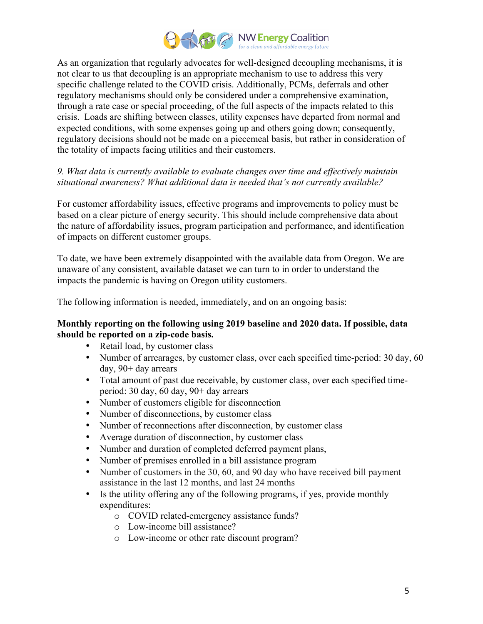

As an organization that regularly advocates for well-designed decoupling mechanisms, it is not clear to us that decoupling is an appropriate mechanism to use to address this very specific challenge related to the COVID crisis. Additionally, PCMs, deferrals and other regulatory mechanisms should only be considered under a comprehensive examination, through a rate case or special proceeding, of the full aspects of the impacts related to this crisis. Loads are shifting between classes, utility expenses have departed from normal and expected conditions, with some expenses going up and others going down; consequently, regulatory decisions should not be made on a piecemeal basis, but rather in consideration of the totality of impacts facing utilities and their customers.

## *9. What data is currently available to evaluate changes over time and effectively maintain situational awareness? What additional data is needed that's not currently available?*

For customer affordability issues, effective programs and improvements to policy must be based on a clear picture of energy security. This should include comprehensive data about the nature of affordability issues, program participation and performance, and identification of impacts on different customer groups.

To date, we have been extremely disappointed with the available data from Oregon. We are unaware of any consistent, available dataset we can turn to in order to understand the impacts the pandemic is having on Oregon utility customers.

The following information is needed, immediately, and on an ongoing basis:

#### **Monthly reporting on the following using 2019 baseline and 2020 data. If possible, data should be reported on a zip-code basis.**

- Retail load, by customer class
- Number of arrearages, by customer class, over each specified time-period: 30 day, 60 day, 90+ day arrears
- Total amount of past due receivable, by customer class, over each specified timeperiod: 30 day, 60 day, 90+ day arrears
- Number of customers eligible for disconnection
- Number of disconnections, by customer class
- Number of reconnections after disconnection, by customer class
- Average duration of disconnection, by customer class
- Number and duration of completed deferred payment plans,
- Number of premises enrolled in a bill assistance program
- Number of customers in the 30, 60, and 90 day who have received bill payment assistance in the last 12 months, and last 24 months
- Is the utility offering any of the following programs, if yes, provide monthly expenditures:
	- o COVID related-emergency assistance funds?
	- o Low-income bill assistance?
	- o Low-income or other rate discount program?